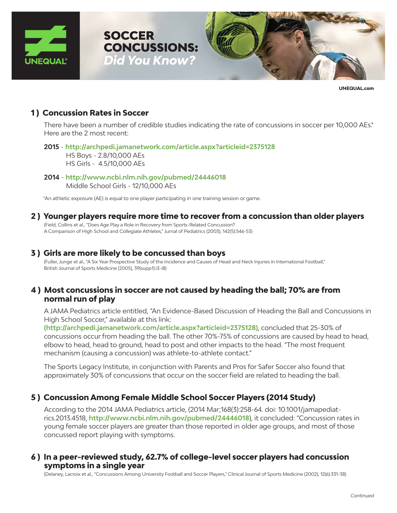



**UNEQUAL.com**

## **1 ) Concussion Rates in Soccer**

There have been a number of credible studies indicating the rate of concussions in soccer per 10,000 AEs.\* Here are the 2 most recent:

#### **2015** - **http://archpedi.jamanetwork.com/article.aspx?articleid=2375128**

 HS Boys - 2.8/10,000 AEs HS Girls - 4.5/10,000 AEs

**2014** - **http://www.ncbi.nlm.nih.gov/pubmed/24446018** Middle School Girls - 12/10,000 AEs

**SOCCER** 

\*An athletic exposure (AE) is equal to one player participating in one training session or game.

## **2 ) Younger players require more time to recover from a concussion than older players**

(Field, Collins et al., "Does Age Play a Role in Recovery from Sports-Related Concussion? A Comparison of High School and Collegiate Athletes," Jurnal of Pediatrics (2003), 142(5):546-53)

## **3 ) Girls are more likely to be concussed than boys**

(Fuller, Junge et al., "A Six Year Prospective Study of the Incidence and Causes of Head and Neck Injuries in International Football," British Journal of Sports Medicine (2005), 39(supp1):i3-i8)

## **4 ) Most concussions in soccer are not caused by heading the ball; 70% are from normal run of play**

A JAMA Pediatrics article entitled, "An Evidence-Based Discussion of Heading the Ball and Concussions in High School Soccer," available at this link:

**(http://archpedi.jamanetwork.com/article.aspx?articleid=2375128)**, concluded that 25-30% of concussions occur from heading the ball. The other 70%-75% of concussions are caused by head to head, elbow to head, head to ground, head to post and other impacts to the head. "The most frequent mechanism (causing a concussion) was athlete-to-athlete contact."

The Sports Legacy Institute, in conjunction with Parents and Pros for Safer Soccer also found that approximately 30% of concussions that occur on the soccer field are related to heading the ball.

# **5 ) Concussion Among Female Middle School Soccer Players (2014 Study)**

According to the 2014 JAMA Pediatrics article, (2014 Mar;168(3):258-64. doi: 10.1001/jamapediatrics.2013.4518, **http://www.ncbi.nlm.nih.gov/pubmed/24446018**), it concluded: "Concussion rates in young female soccer players are greater than those reported in older age groups, and most of those concussed report playing with symptoms.

## **6 ) In a peer-reviewed study, 62.7% of college-level soccer players had concussion symptoms in a single year**

(Delaney, Lacroix et al., "Concussions Among University Football and Soccer Players," Clinical Journal of Sports Medicine (2002), 12(6):331-38)